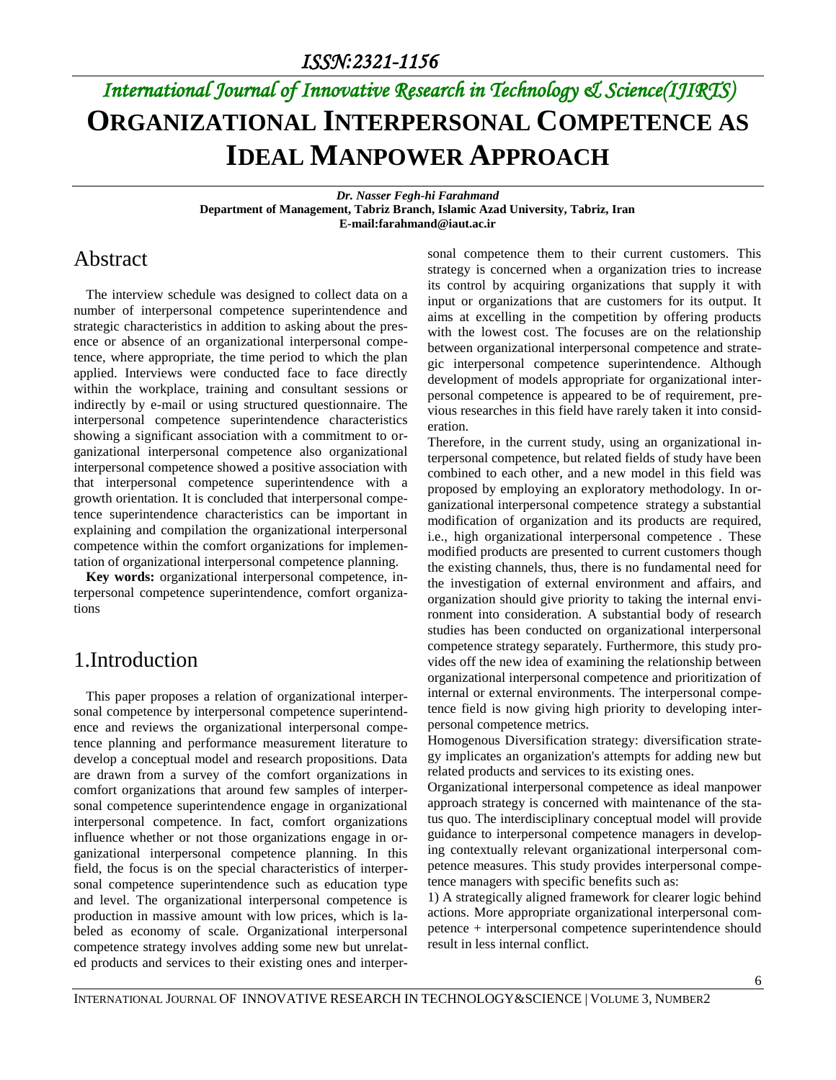# *International Journal of Innovative Research in Technology & Science(IJIRTS)* **ORGANIZATIONAL INTERPERSONAL COMPETENCE AS IDEAL MANPOWER APPROACH**

*Dr. Nasser Fegh-hi Farahmand* **Department of Management, Tabriz Branch, Islamic Azad University, Tabriz, Iran E-mail:farahmand@iaut.ac.ir**

#### Abstract

The interview schedule was designed to collect data on a number of interpersonal competence superintendence and strategic characteristics in addition to asking about the presence or absence of an organizational interpersonal competence, where appropriate, the time period to which the plan applied. Interviews were conducted face to face directly within the workplace, training and consultant sessions or indirectly by e-mail or using structured questionnaire. The interpersonal competence superintendence characteristics showing a significant association with a commitment to organizational interpersonal competence also organizational interpersonal competence showed a positive association with that interpersonal competence superintendence with a growth orientation. It is concluded that interpersonal competence superintendence characteristics can be important in explaining and compilation the organizational interpersonal competence within the comfort organizations for implementation of organizational interpersonal competence planning.

**Key words:** organizational interpersonal competence, interpersonal competence superintendence, comfort organizations

#### 1.Introduction

This paper proposes a relation of organizational interpersonal competence by interpersonal competence superintendence and reviews the organizational interpersonal competence planning and performance measurement literature to develop a conceptual model and research propositions. Data are drawn from a survey of the comfort organizations in comfort organizations that around few samples of interpersonal competence superintendence engage in organizational interpersonal competence. In fact, comfort organizations influence whether or not those organizations engage in organizational interpersonal competence planning. In this field, the focus is on the special characteristics of interpersonal competence superintendence such as education type and level. The organizational interpersonal competence is production in massive amount with low prices, which is labeled as economy of scale. Organizational interpersonal competence strategy involves adding some new but unrelated products and services to their existing ones and interpersonal competence them to their current customers. This strategy is concerned when a organization tries to increase its control by acquiring organizations that supply it with input or organizations that are customers for its output. It aims at excelling in the competition by offering products with the lowest cost. The focuses are on the relationship between organizational interpersonal competence and strategic interpersonal competence superintendence. Although development of models appropriate for organizational interpersonal competence is appeared to be of requirement, previous researches in this field have rarely taken it into consideration.

Therefore, in the current study, using an organizational interpersonal competence, but related fields of study have been combined to each other, and a new model in this field was proposed by employing an exploratory methodology. In organizational interpersonal competence strategy a substantial modification of organization and its products are required, i.e., high organizational interpersonal competence . These modified products are presented to current customers though the existing channels, thus, there is no fundamental need for the investigation of external environment and affairs, and organization should give priority to taking the internal environment into consideration. A substantial body of research studies has been conducted on organizational interpersonal competence strategy separately. Furthermore, this study provides off the new idea of examining the relationship between organizational interpersonal competence and prioritization of internal or external environments. The interpersonal competence field is now giving high priority to developing interpersonal competence metrics.

Homogenous Diversification strategy: diversification strategy implicates an organization's attempts for adding new but related products and services to its existing ones.

Organizational interpersonal competence as ideal manpower approach strategy is concerned with maintenance of the status quo. The interdisciplinary conceptual model will provide guidance to interpersonal competence managers in developing contextually relevant organizational interpersonal competence measures. This study provides interpersonal competence managers with specific benefits such as:

1) A strategically aligned framework for clearer logic behind actions. More appropriate organizational interpersonal competence + interpersonal competence superintendence should result in less internal conflict.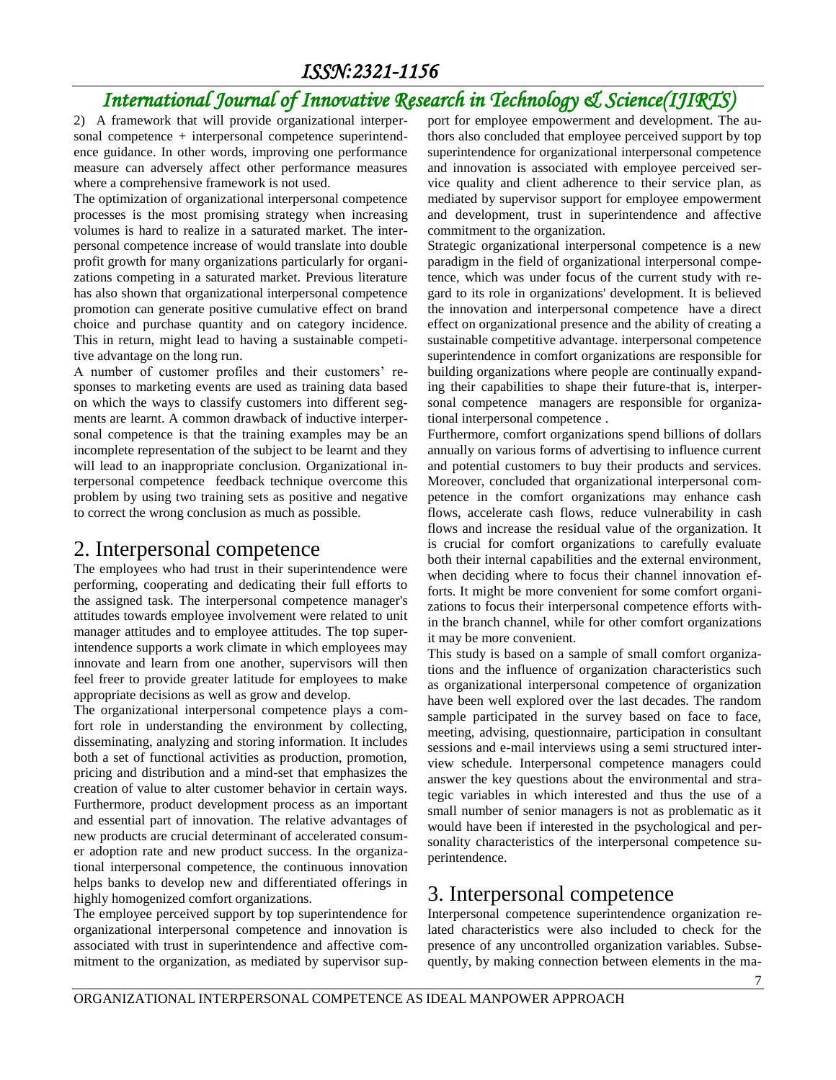## *International Journal of Innovative Research in Technology & Science(IJIRTS)*

2) A framework that will provide organizational interpersonal competence + interpersonal competence superintendence guidance. In other words, improving one performance measure can adversely affect other performance measures where a comprehensive framework is not used.

The optimization of organizational interpersonal competence processes is the most promising strategy when increasing volumes is hard to realize in a saturated market. The interpersonal competence increase of would translate into double profit growth for many organizations particularly for organizations competing in a saturated market. Previous literature has also shown that organizational interpersonal competence promotion can generate positive cumulative effect on brand choice and purchase quantity and on category incidence. This in return, might lead to having a sustainable competitive advantage on the long run.

A number of customer profiles and their customers' responses to marketing events are used as training data based on which the ways to classify customers into different segments are learnt. A common drawback of inductive interpersonal competence is that the training examples may be an incomplete representation of the subject to be learnt and they will lead to an inappropriate conclusion. Organizational interpersonal competence feedback technique overcome this problem by using two training sets as positive and negative to correct the wrong conclusion as much as possible.

#### 2. Interpersonal competence

The employees who had trust in their superintendence were performing, cooperating and dedicating their full efforts to the assigned task. The interpersonal competence manager's attitudes towards employee involvement were related to unit manager attitudes and to employee attitudes. The top superintendence supports a work climate in which employees may innovate and learn from one another, supervisors will then feel freer to provide greater latitude for employees to make appropriate decisions as well as grow and develop.

The organizational interpersonal competence plays a comfort role in understanding the environment by collecting, disseminating, analyzing and storing information. It includes both a set of functional activities as production, promotion, pricing and distribution and a mind-set that emphasizes the creation of value to alter customer behavior in certain ways. Furthermore, product development process as an important and essential part of innovation. The relative advantages of new products are crucial determinant of accelerated consumer adoption rate and new product success. In the organizational interpersonal competence, the continuous innovation helps banks to develop new and differentiated offerings in highly homogenized comfort organizations.

The employee perceived support by top superintendence for organizational interpersonal competence and innovation is associated with trust in superintendence and affective commitment to the organization, as mediated by supervisor support for employee empowerment and development. The authors also concluded that employee perceived support by top superintendence for organizational interpersonal competence and innovation is associated with employee perceived service quality and client adherence to their service plan, as mediated by supervisor support for employee empowerment and development, trust in superintendence and affective commitment to the organization.

Strategic organizational interpersonal competence is a new paradigm in the field of organizational interpersonal competence, which was under focus of the current study with regard to its role in organizations' development. It is believed the innovation and interpersonal competence have a direct effect on organizational presence and the ability of creating a sustainable competitive advantage. interpersonal competence superintendence in comfort organizations are responsible for building organizations where people are continually expanding their capabilities to shape their future-that is, interpersonal competence managers are responsible for organizational interpersonal competence .

Furthermore, comfort organizations spend billions of dollars annually on various forms of advertising to influence current and potential customers to buy their products and services. Moreover, concluded that organizational interpersonal competence in the comfort organizations may enhance cash flows, accelerate cash flows, reduce vulnerability in cash flows and increase the residual value of the organization. It is crucial for comfort organizations to carefully evaluate both their internal capabilities and the external environment, when deciding where to focus their channel innovation efforts. It might be more convenient for some comfort organizations to focus their interpersonal competence efforts within the branch channel, while for other comfort organizations it may be more convenient.

This study is based on a sample of small comfort organizations and the influence of organization characteristics such as organizational interpersonal competence of organization have been well explored over the last decades. The random sample participated in the survey based on face to face, meeting, advising, questionnaire, participation in consultant sessions and e-mail interviews using a semi structured interview schedule. Interpersonal competence managers could answer the key questions about the environmental and strategic variables in which interested and thus the use of a small number of senior managers is not as problematic as it would have been if interested in the psychological and personality characteristics of the interpersonal competence superintendence.

#### 3. Interpersonal competence

Interpersonal competence superintendence organization related characteristics were also included to check for the presence of any uncontrolled organization variables. Subsequently, by making connection between elements in the ma-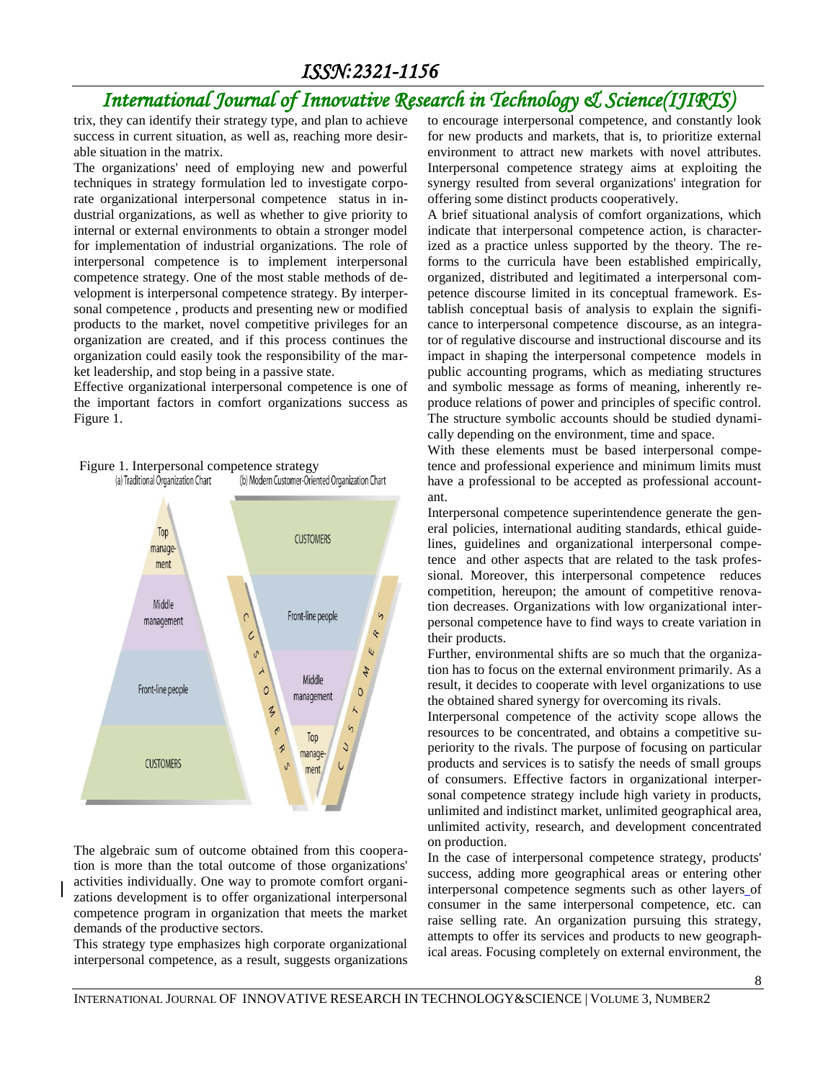### *International Journal of Innovative Research in Technology & Science(IJIRTS)*

trix, they can identify their strategy type, and plan to achieve success in current situation, as well as, reaching more desirable situation in the matrix.

The organizations' need of employing new and powerful techniques in strategy formulation led to investigate corporate organizational interpersonal competence status in industrial organizations, as well as whether to give priority to internal or external environments to obtain a stronger model for implementation of industrial organizations. The role of interpersonal competence is to implement interpersonal competence strategy. One of the most stable methods of development is interpersonal competence strategy. By interpersonal competence , products and presenting new or modified products to the market, novel competitive privileges for an organization are created, and if this process continues the organization could easily took the responsibility of the market leadership, and stop being in a passive state.

Effective organizational interpersonal competence is one of the important factors in comfort organizations success as Figure 1.



Figure 1. Interpersonal competence strategy<br>(a) Traditional Organization Chart (b) Modern Customer-Oriented Organization Chart

The algebraic sum of outcome obtained from this cooperation is more than the total outcome of those organizations' activities individually. One way to promote comfort organizations development is to offer organizational interpersonal competence program in organization that meets the market demands of the productive sectors.

This strategy type emphasizes high corporate organizational interpersonal competence, as a result, suggests organizations

to encourage interpersonal competence, and constantly look for new products and markets, that is, to prioritize external environment to attract new markets with novel attributes. Interpersonal competence strategy aims at exploiting the synergy resulted from several organizations' integration for offering some distinct products cooperatively.

A brief situational analysis of comfort organizations, which indicate that interpersonal competence action, is characterized as a practice unless supported by the theory. The reforms to the curricula have been established empirically, organized, distributed and legitimated a interpersonal competence discourse limited in its conceptual framework. Establish conceptual basis of analysis to explain the significance to interpersonal competence discourse, as an integrator of regulative discourse and instructional discourse and its impact in shaping the interpersonal competence models in public accounting programs, which as mediating structures and symbolic message as forms of meaning, inherently reproduce relations of power and principles of specific control. The structure symbolic accounts should be studied dynamically depending on the environment, time and space.

With these elements must be based interpersonal competence and professional experience and minimum limits must have a professional to be accepted as professional accountant.

Interpersonal competence superintendence generate the general policies, international auditing standards, ethical guidelines, guidelines and organizational interpersonal competence and other aspects that are related to the task professional. Moreover, this interpersonal competence reduces competition, hereupon; the amount of competitive renovation decreases. Organizations with low organizational interpersonal competence have to find ways to create variation in their products.

Further, environmental shifts are so much that the organization has to focus on the external environment primarily. As a result, it decides to cooperate with level organizations to use the obtained shared synergy for overcoming its rivals.

Interpersonal competence of the activity scope allows the resources to be concentrated, and obtains a competitive superiority to the rivals. The purpose of focusing on particular products and services is to satisfy the needs of small groups of consumers. Effective factors in organizational interpersonal competence strategy include high variety in products, unlimited and indistinct market, unlimited geographical area, unlimited activity, research, and development concentrated on production.

In the case of interpersonal competence strategy, products' success, adding more geographical areas or entering other interpersonal competence segments such as other layers of consumer in the same interpersonal competence, etc. can raise selling rate. An organization pursuing this strategy, attempts to offer its services and products to new geographical areas. Focusing completely on external environment, the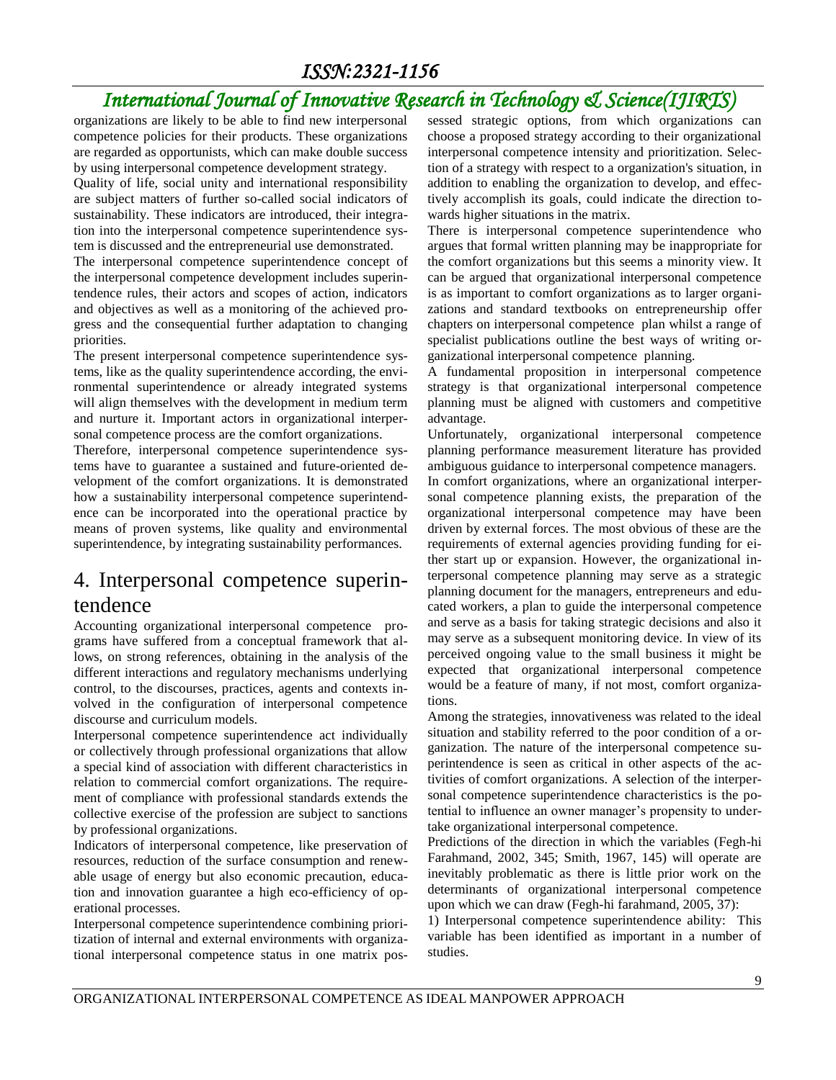### *International Journal of Innovative Research in Technology & Science(IJIRTS)*

organizations are likely to be able to find new interpersonal competence policies for their products. These organizations are regarded as opportunists, which can make double success by using interpersonal competence development strategy.

Quality of life, social unity and international responsibility are subject matters of further so-called social indicators of sustainability. These indicators are introduced, their integration into the interpersonal competence superintendence system is discussed and the entrepreneurial use demonstrated.

The interpersonal competence superintendence concept of the interpersonal competence development includes superintendence rules, their actors and scopes of action, indicators and objectives as well as a monitoring of the achieved progress and the consequential further adaptation to changing priorities.

The present interpersonal competence superintendence systems, like as the quality superintendence according, the environmental superintendence or already integrated systems will align themselves with the development in medium term and nurture it. Important actors in organizational interpersonal competence process are the comfort organizations.

Therefore, interpersonal competence superintendence systems have to guarantee a sustained and future-oriented development of the comfort organizations. It is demonstrated how a sustainability interpersonal competence superintendence can be incorporated into the operational practice by means of proven systems, like quality and environmental superintendence, by integrating sustainability performances.

#### 4. Interpersonal competence superintendence

Accounting organizational interpersonal competence programs have suffered from a conceptual framework that allows, on strong references, obtaining in the analysis of the different interactions and regulatory mechanisms underlying control, to the discourses, practices, agents and contexts involved in the configuration of interpersonal competence discourse and curriculum models.

Interpersonal competence superintendence act individually or collectively through professional organizations that allow a special kind of association with different characteristics in relation to commercial comfort organizations. The requirement of compliance with professional standards extends the collective exercise of the profession are subject to sanctions by professional organizations.

Indicators of interpersonal competence, like preservation of resources, reduction of the surface consumption and renewable usage of energy but also economic precaution, education and innovation guarantee a high eco-efficiency of operational processes.

Interpersonal competence superintendence combining prioritization of internal and external environments with organizational interpersonal competence status in one matrix possessed strategic options, from which organizations can choose a proposed strategy according to their organizational interpersonal competence intensity and prioritization. Selection of a strategy with respect to a organization's situation, in addition to enabling the organization to develop, and effectively accomplish its goals, could indicate the direction towards higher situations in the matrix.

There is interpersonal competence superintendence who argues that formal written planning may be inappropriate for the comfort organizations but this seems a minority view. It can be argued that organizational interpersonal competence is as important to comfort organizations as to larger organizations and standard textbooks on entrepreneurship offer chapters on interpersonal competence plan whilst a range of specialist publications outline the best ways of writing organizational interpersonal competence planning.

A fundamental proposition in interpersonal competence strategy is that organizational interpersonal competence planning must be aligned with customers and competitive advantage.

Unfortunately, organizational interpersonal competence planning performance measurement literature has provided ambiguous guidance to interpersonal competence managers.

In comfort organizations, where an organizational interpersonal competence planning exists, the preparation of the organizational interpersonal competence may have been driven by external forces. The most obvious of these are the requirements of external agencies providing funding for either start up or expansion. However, the organizational interpersonal competence planning may serve as a strategic planning document for the managers, entrepreneurs and educated workers, a plan to guide the interpersonal competence and serve as a basis for taking strategic decisions and also it may serve as a subsequent monitoring device. In view of its perceived ongoing value to the small business it might be expected that organizational interpersonal competence would be a feature of many, if not most, comfort organizations.

Among the strategies, innovativeness was related to the ideal situation and stability referred to the poor condition of a organization. The nature of the interpersonal competence superintendence is seen as critical in other aspects of the activities of comfort organizations. A selection of the interpersonal competence superintendence characteristics is the potential to influence an owner manager's propensity to undertake organizational interpersonal competence.

Predictions of the direction in which the variables (Fegh-hi Farahmand, 2002, 345; Smith, 1967, 145) will operate are inevitably problematic as there is little prior work on the determinants of organizational interpersonal competence upon which we can draw (Fegh-hi farahmand, 2005, 37):

1) Interpersonal competence superintendence ability: This variable has been identified as important in a number of studies.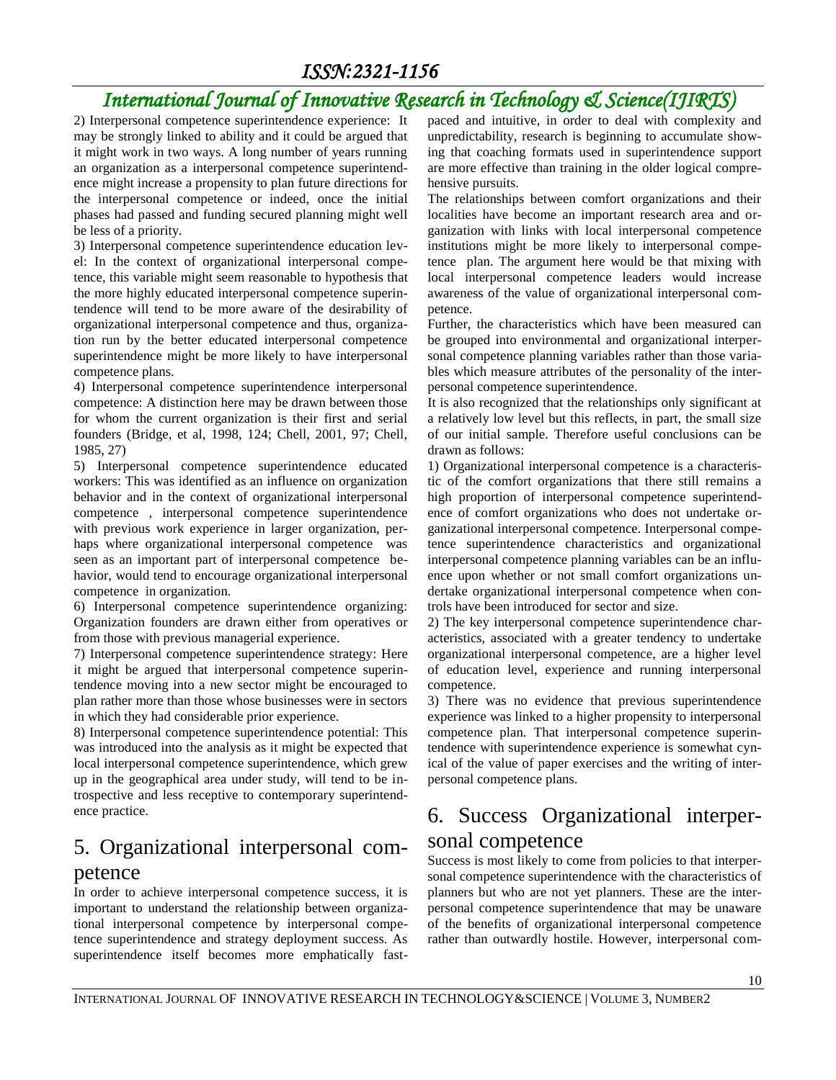### *International Journal of Innovative Research in Technology & Science(IJIRTS)*

2) Interpersonal competence superintendence experience: It may be strongly linked to ability and it could be argued that it might work in two ways. A long number of years running an organization as a interpersonal competence superintendence might increase a propensity to plan future directions for the interpersonal competence or indeed, once the initial phases had passed and funding secured planning might well be less of a priority.

3) Interpersonal competence superintendence education level: In the context of organizational interpersonal competence, this variable might seem reasonable to hypothesis that the more highly educated interpersonal competence superintendence will tend to be more aware of the desirability of organizational interpersonal competence and thus, organization run by the better educated interpersonal competence superintendence might be more likely to have interpersonal competence plans.

4) Interpersonal competence superintendence interpersonal competence: A distinction here may be drawn between those for whom the current organization is their first and serial founders (Bridge, et al, 1998, 124; Chell, 2001, 97; Chell, 1985, 27)

5) Interpersonal competence superintendence educated workers: This was identified as an influence on organization behavior and in the context of organizational interpersonal competence , interpersonal competence superintendence with previous work experience in larger organization, perhaps where organizational interpersonal competence was seen as an important part of interpersonal competence behavior, would tend to encourage organizational interpersonal competence in organization.

6) Interpersonal competence superintendence organizing: Organization founders are drawn either from operatives or from those with previous managerial experience.

7) Interpersonal competence superintendence strategy: Here it might be argued that interpersonal competence superintendence moving into a new sector might be encouraged to plan rather more than those whose businesses were in sectors in which they had considerable prior experience.

8) Interpersonal competence superintendence potential: This was introduced into the analysis as it might be expected that local interpersonal competence superintendence, which grew up in the geographical area under study, will tend to be introspective and less receptive to contemporary superintendence practice.

#### 5. Organizational interpersonal competence

In order to achieve interpersonal competence success, it is important to understand the relationship between organizational interpersonal competence by interpersonal competence superintendence and strategy deployment success. As superintendence itself becomes more emphatically fastpaced and intuitive, in order to deal with complexity and unpredictability, research is beginning to accumulate showing that coaching formats used in superintendence support are more effective than training in the older logical comprehensive pursuits.

The relationships between comfort organizations and their localities have become an important research area and organization with links with local interpersonal competence institutions might be more likely to interpersonal competence plan. The argument here would be that mixing with local interpersonal competence leaders would increase awareness of the value of organizational interpersonal competence.

Further, the characteristics which have been measured can be grouped into environmental and organizational interpersonal competence planning variables rather than those variables which measure attributes of the personality of the interpersonal competence superintendence.

It is also recognized that the relationships only significant at a relatively low level but this reflects, in part, the small size of our initial sample. Therefore useful conclusions can be drawn as follows:

1) Organizational interpersonal competence is a characteristic of the comfort organizations that there still remains a high proportion of interpersonal competence superintendence of comfort organizations who does not undertake organizational interpersonal competence. Interpersonal competence superintendence characteristics and organizational interpersonal competence planning variables can be an influence upon whether or not small comfort organizations undertake organizational interpersonal competence when controls have been introduced for sector and size.

2) The key interpersonal competence superintendence characteristics, associated with a greater tendency to undertake organizational interpersonal competence, are a higher level of education level, experience and running interpersonal competence.

3) There was no evidence that previous superintendence experience was linked to a higher propensity to interpersonal competence plan. That interpersonal competence superintendence with superintendence experience is somewhat cynical of the value of paper exercises and the writing of interpersonal competence plans.

### 6. Success Organizational interpersonal competence

Success is most likely to come from policies to that interpersonal competence superintendence with the characteristics of planners but who are not yet planners. These are the interpersonal competence superintendence that may be unaware of the benefits of organizational interpersonal competence rather than outwardly hostile. However, interpersonal com-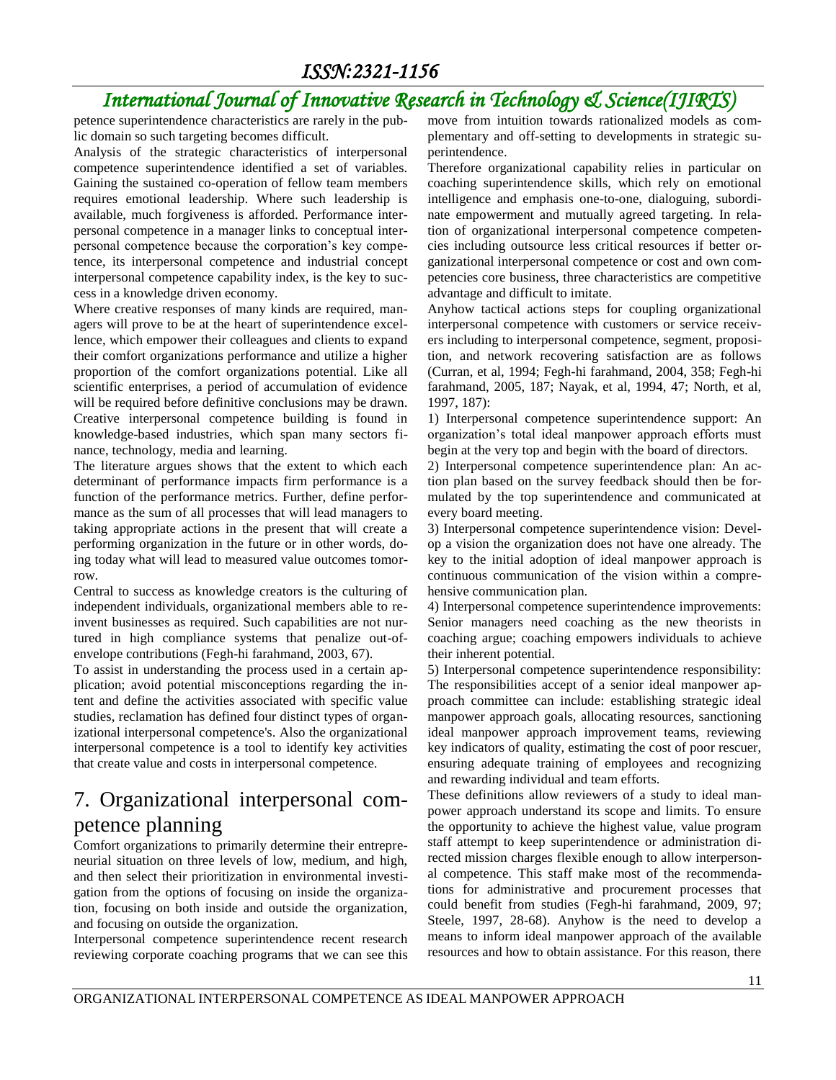## *International Journal of Innovative Research in Technology & Science(IJIRTS)*

petence superintendence characteristics are rarely in the public domain so such targeting becomes difficult.

Analysis of the strategic characteristics of interpersonal competence superintendence identified a set of variables. Gaining the sustained co-operation of fellow team members requires emotional leadership. Where such leadership is available, much forgiveness is afforded. Performance interpersonal competence in a manager links to conceptual interpersonal competence because the corporation's key competence, its interpersonal competence and industrial concept interpersonal competence capability index, is the key to success in a knowledge driven economy.

Where creative responses of many kinds are required, managers will prove to be at the heart of superintendence excellence, which empower their colleagues and clients to expand their comfort organizations performance and utilize a higher proportion of the comfort organizations potential. Like all scientific enterprises, a period of accumulation of evidence will be required before definitive conclusions may be drawn. Creative interpersonal competence building is found in knowledge-based industries, which span many sectors finance, technology, media and learning.

The literature argues shows that the extent to which each determinant of performance impacts firm performance is a function of the performance metrics. Further, define performance as the sum of all processes that will lead managers to taking appropriate actions in the present that will create a performing organization in the future or in other words, doing today what will lead to measured value outcomes tomorrow.

Central to success as knowledge creators is the culturing of independent individuals, organizational members able to reinvent businesses as required. Such capabilities are not nurtured in high compliance systems that penalize out-ofenvelope contributions (Fegh-hi farahmand, 2003, 67).

To assist in understanding the process used in a certain application; avoid potential misconceptions regarding the intent and define the activities associated with specific value studies, reclamation has defined four distinct types of organizational interpersonal competence's. Also the organizational interpersonal competence is a tool to identify key activities that create value and costs in interpersonal competence.

### 7. Organizational interpersonal competence planning

Comfort organizations to primarily determine their entrepreneurial situation on three levels of low, medium, and high, and then select their prioritization in environmental investigation from the options of focusing on inside the organization, focusing on both inside and outside the organization, and focusing on outside the organization.

Interpersonal competence superintendence recent research reviewing corporate coaching programs that we can see this move from intuition towards rationalized models as complementary and off-setting to developments in strategic superintendence.

Therefore organizational capability relies in particular on coaching superintendence skills, which rely on emotional intelligence and emphasis one-to-one, dialoguing, subordinate empowerment and mutually agreed targeting. In relation of organizational interpersonal competence competencies including outsource less critical resources if better organizational interpersonal competence or cost and own competencies core business, three characteristics are competitive advantage and difficult to imitate.

Anyhow tactical actions steps for coupling organizational interpersonal competence with customers or service receivers including to interpersonal competence, segment, proposition, and network recovering satisfaction are as follows (Curran, et al, 1994; Fegh-hi farahmand, 2004, 358; Fegh-hi farahmand, 2005, 187; Nayak, et al, 1994, 47; North, et al, 1997, 187):

1) Interpersonal competence superintendence support: An organization's total ideal manpower approach efforts must begin at the very top and begin with the board of directors.

2) Interpersonal competence superintendence plan: An action plan based on the survey feedback should then be formulated by the top superintendence and communicated at every board meeting.

3) Interpersonal competence superintendence vision: Develop a vision the organization does not have one already. The key to the initial adoption of ideal manpower approach is continuous communication of the vision within a comprehensive communication plan.

4) Interpersonal competence superintendence improvements: Senior managers need coaching as the new theorists in coaching argue; coaching empowers individuals to achieve their inherent potential.

5) Interpersonal competence superintendence responsibility: The responsibilities accept of a senior ideal manpower approach committee can include: establishing strategic ideal manpower approach goals, allocating resources, sanctioning ideal manpower approach improvement teams, reviewing key indicators of quality, estimating the cost of poor rescuer, ensuring adequate training of employees and recognizing and rewarding individual and team efforts.

These definitions allow reviewers of a study to ideal manpower approach understand its scope and limits. To ensure the opportunity to achieve the highest value, value program staff attempt to keep superintendence or administration directed mission charges flexible enough to allow interpersonal competence. This staff make most of the recommendations for administrative and procurement processes that could benefit from studies (Fegh-hi farahmand, 2009, 97; Steele, 1997, 28-68). Anyhow is the need to develop a means to inform ideal manpower approach of the available resources and how to obtain assistance. For this reason, there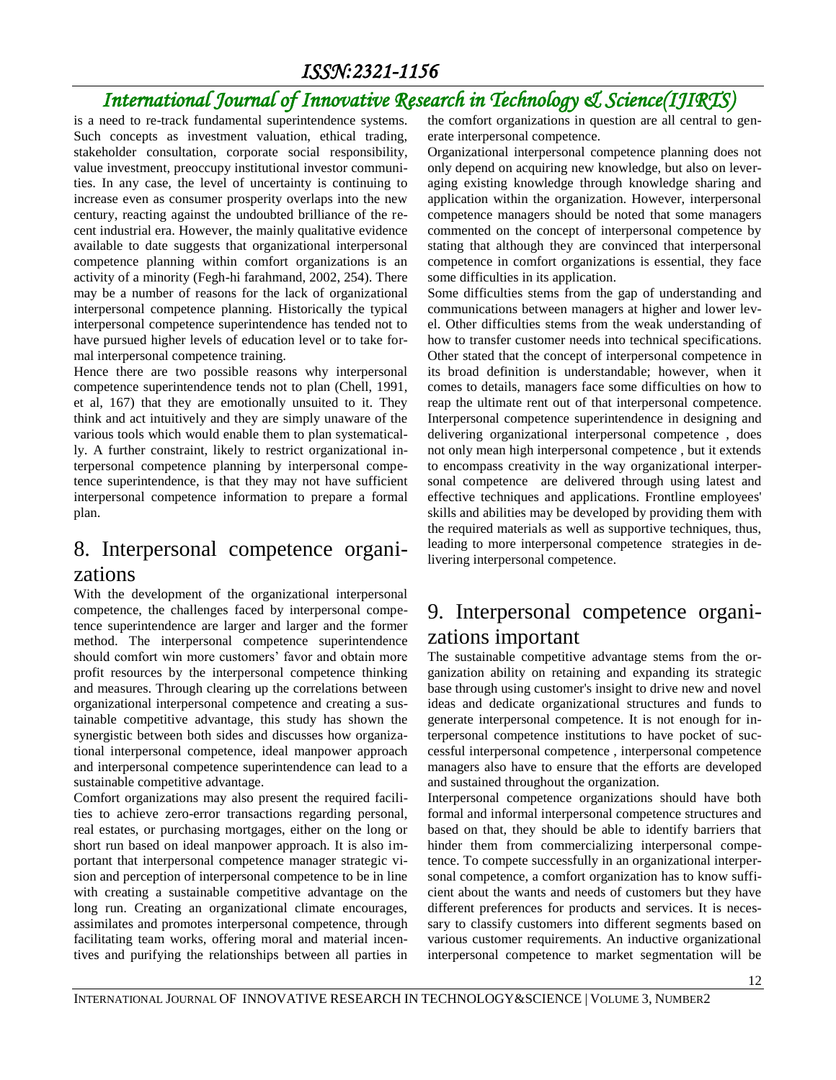## *International Journal of Innovative Research in Technology & Science(IJIRTS)*

is a need to re-track fundamental superintendence systems. Such concepts as investment valuation, ethical trading, stakeholder consultation, corporate social responsibility, value investment, preoccupy institutional investor communities. In any case, the level of uncertainty is continuing to increase even as consumer prosperity overlaps into the new century, reacting against the undoubted brilliance of the recent industrial era. However, the mainly qualitative evidence available to date suggests that organizational interpersonal competence planning within comfort organizations is an activity of a minority (Fegh-hi farahmand, 2002, 254). There may be a number of reasons for the lack of organizational interpersonal competence planning. Historically the typical interpersonal competence superintendence has tended not to have pursued higher levels of education level or to take formal interpersonal competence training.

Hence there are two possible reasons why interpersonal competence superintendence tends not to plan (Chell, 1991, et al, 167) that they are emotionally unsuited to it. They think and act intuitively and they are simply unaware of the various tools which would enable them to plan systematically. A further constraint, likely to restrict organizational interpersonal competence planning by interpersonal competence superintendence, is that they may not have sufficient interpersonal competence information to prepare a formal plan.

#### 8. Interpersonal competence organizations

With the development of the organizational interpersonal competence, the challenges faced by interpersonal competence superintendence are larger and larger and the former method. The interpersonal competence superintendence should comfort win more customers' favor and obtain more profit resources by the interpersonal competence thinking and measures. Through clearing up the correlations between organizational interpersonal competence and creating a sustainable competitive advantage, this study has shown the synergistic between both sides and discusses how organizational interpersonal competence, ideal manpower approach and interpersonal competence superintendence can lead to a sustainable competitive advantage.

Comfort organizations may also present the required facilities to achieve zero-error transactions regarding personal, real estates, or purchasing mortgages, either on the long or short run based on ideal manpower approach. It is also important that interpersonal competence manager strategic vision and perception of interpersonal competence to be in line with creating a sustainable competitive advantage on the long run. Creating an organizational climate encourages, assimilates and promotes interpersonal competence, through facilitating team works, offering moral and material incentives and purifying the relationships between all parties in

the comfort organizations in question are all central to generate interpersonal competence.

Organizational interpersonal competence planning does not only depend on acquiring new knowledge, but also on leveraging existing knowledge through knowledge sharing and application within the organization. However, interpersonal competence managers should be noted that some managers commented on the concept of interpersonal competence by stating that although they are convinced that interpersonal competence in comfort organizations is essential, they face some difficulties in its application.

Some difficulties stems from the gap of understanding and communications between managers at higher and lower level. Other difficulties stems from the weak understanding of how to transfer customer needs into technical specifications. Other stated that the concept of interpersonal competence in its broad definition is understandable; however, when it comes to details, managers face some difficulties on how to reap the ultimate rent out of that interpersonal competence. Interpersonal competence superintendence in designing and delivering organizational interpersonal competence , does not only mean high interpersonal competence , but it extends to encompass creativity in the way organizational interpersonal competence are delivered through using latest and effective techniques and applications. Frontline employees' skills and abilities may be developed by providing them with the required materials as well as supportive techniques, thus, leading to more interpersonal competence strategies in delivering interpersonal competence.

#### 9. Interpersonal competence organizations important

The sustainable competitive advantage stems from the organization ability on retaining and expanding its strategic base through using customer's insight to drive new and novel ideas and dedicate organizational structures and funds to generate interpersonal competence. It is not enough for interpersonal competence institutions to have pocket of successful interpersonal competence , interpersonal competence managers also have to ensure that the efforts are developed and sustained throughout the organization.

Interpersonal competence organizations should have both formal and informal interpersonal competence structures and based on that, they should be able to identify barriers that hinder them from commercializing interpersonal competence. To compete successfully in an organizational interpersonal competence, a comfort organization has to know sufficient about the wants and needs of customers but they have different preferences for products and services. It is necessary to classify customers into different segments based on various customer requirements. An inductive organizational interpersonal competence to market segmentation will be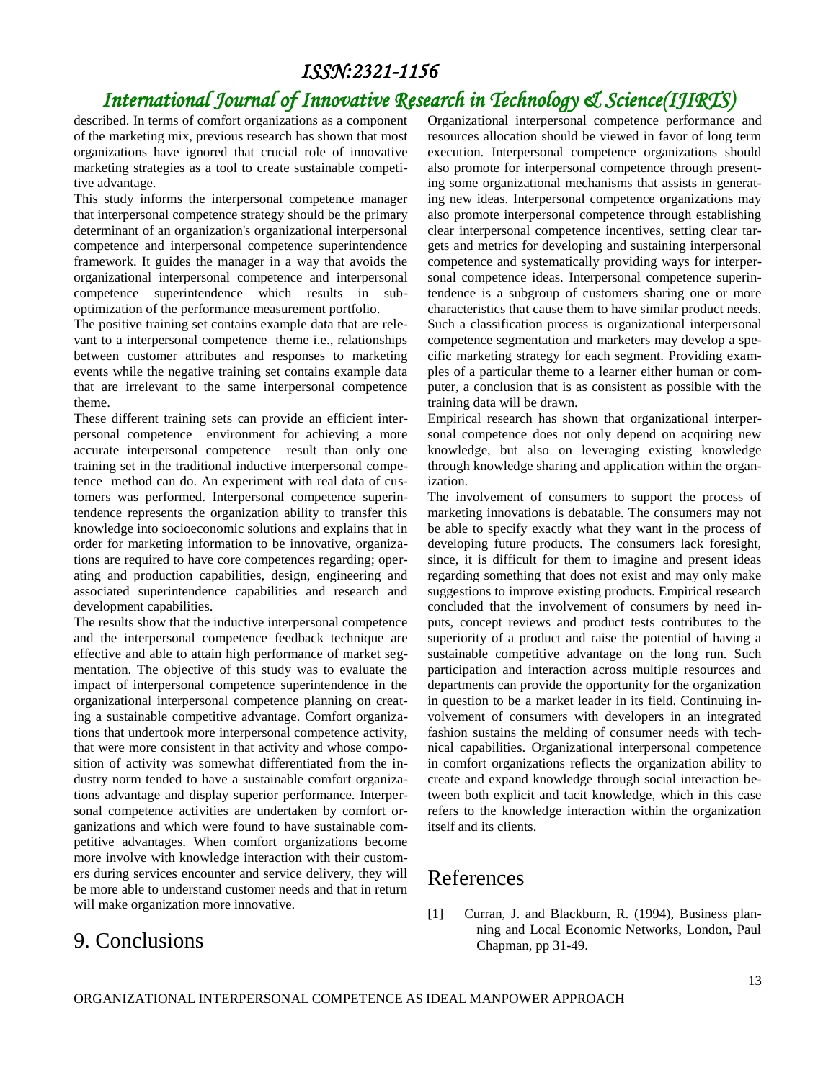### *International Journal of Innovative Research in Technology & Science(IJIRTS)*

described. In terms of comfort organizations as a component of the marketing mix, previous research has shown that most organizations have ignored that crucial role of innovative marketing strategies as a tool to create sustainable competitive advantage.

This study informs the interpersonal competence manager that interpersonal competence strategy should be the primary determinant of an organization's organizational interpersonal competence and interpersonal competence superintendence framework. It guides the manager in a way that avoids the organizational interpersonal competence and interpersonal competence superintendence which results in suboptimization of the performance measurement portfolio.

The positive training set contains example data that are relevant to a interpersonal competence theme i.e., relationships between customer attributes and responses to marketing events while the negative training set contains example data that are irrelevant to the same interpersonal competence theme.

These different training sets can provide an efficient interpersonal competence environment for achieving a more accurate interpersonal competence result than only one training set in the traditional inductive interpersonal competence method can do. An experiment with real data of customers was performed. Interpersonal competence superintendence represents the organization ability to transfer this knowledge into socioeconomic solutions and explains that in order for marketing information to be innovative, organizations are required to have core competences regarding; operating and production capabilities, design, engineering and associated superintendence capabilities and research and development capabilities.

The results show that the inductive interpersonal competence and the interpersonal competence feedback technique are effective and able to attain high performance of market segmentation. The objective of this study was to evaluate the impact of interpersonal competence superintendence in the organizational interpersonal competence planning on creating a sustainable competitive advantage. Comfort organizations that undertook more interpersonal competence activity, that were more consistent in that activity and whose composition of activity was somewhat differentiated from the industry norm tended to have a sustainable comfort organizations advantage and display superior performance. Interpersonal competence activities are undertaken by comfort organizations and which were found to have sustainable competitive advantages. When comfort organizations become more involve with knowledge interaction with their customers during services encounter and service delivery, they will be more able to understand customer needs and that in return will make organization more innovative.

### 9. Conclusions

Organizational interpersonal competence performance and resources allocation should be viewed in favor of long term execution. Interpersonal competence organizations should also promote for interpersonal competence through presenting some organizational mechanisms that assists in generating new ideas. Interpersonal competence organizations may also promote interpersonal competence through establishing clear interpersonal competence incentives, setting clear targets and metrics for developing and sustaining interpersonal competence and systematically providing ways for interpersonal competence ideas. Interpersonal competence superintendence is a subgroup of customers sharing one or more characteristics that cause them to have similar product needs. Such a classification process is organizational interpersonal competence segmentation and marketers may develop a specific marketing strategy for each segment. Providing examples of a particular theme to a learner either human or computer, a conclusion that is as consistent as possible with the training data will be drawn.

Empirical research has shown that organizational interpersonal competence does not only depend on acquiring new knowledge, but also on leveraging existing knowledge through knowledge sharing and application within the organization.

The involvement of consumers to support the process of marketing innovations is debatable. The consumers may not be able to specify exactly what they want in the process of developing future products. The consumers lack foresight, since, it is difficult for them to imagine and present ideas regarding something that does not exist and may only make suggestions to improve existing products. Empirical research concluded that the involvement of consumers by need inputs, concept reviews and product tests contributes to the superiority of a product and raise the potential of having a sustainable competitive advantage on the long run. Such participation and interaction across multiple resources and departments can provide the opportunity for the organization in question to be a market leader in its field. Continuing involvement of consumers with developers in an integrated fashion sustains the melding of consumer needs with technical capabilities. Organizational interpersonal competence in comfort organizations reflects the organization ability to create and expand knowledge through social interaction between both explicit and tacit knowledge, which in this case refers to the knowledge interaction within the organization itself and its clients.

#### References

[1] Curran, J. and Blackburn, R. (1994), Business planning and Local Economic Networks, London, Paul Chapman, pp 31-49.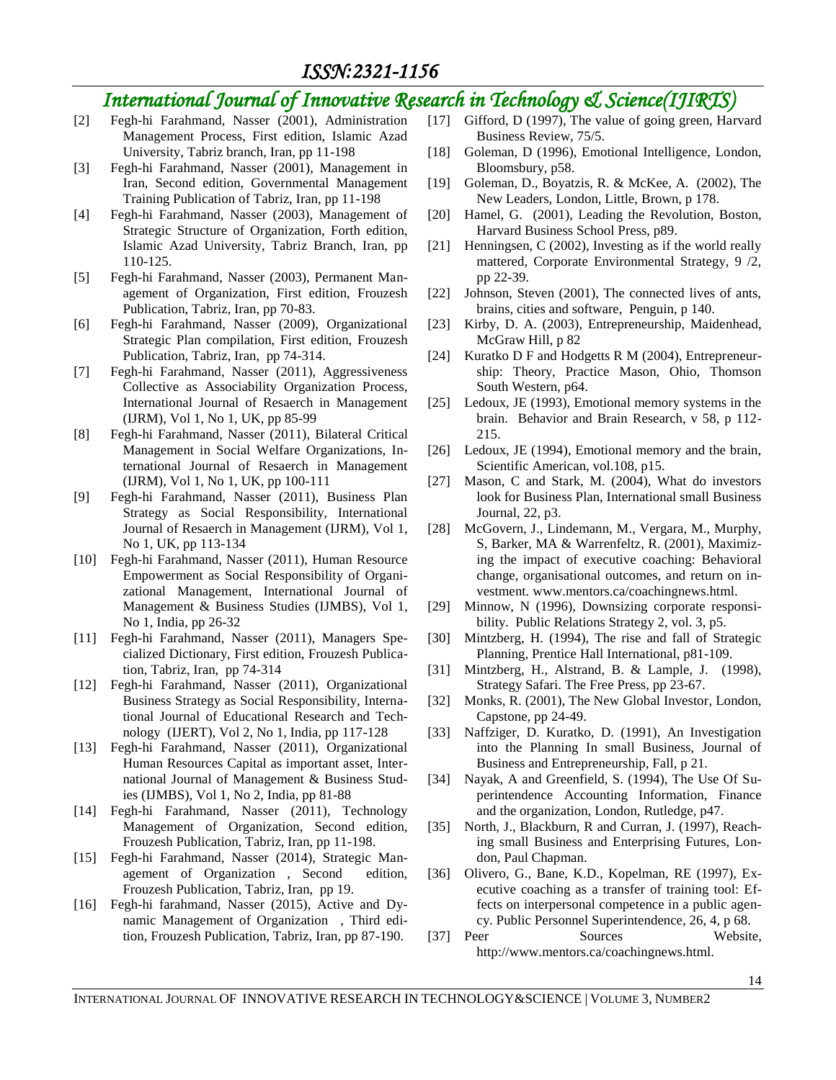### *International Journal of Innovative Research in Technology & Science(IJIRTS)*

- [2] Fegh-hi Farahmand, Nasser (2001), Administration Management Process, First edition, Islamic Azad University, Tabriz branch, Iran, pp 11-198
- [3] Fegh-hi Farahmand, Nasser (2001), Management in Iran, Second edition, Governmental Management Training Publication of Tabriz, Iran, pp 11-198
- [4] Fegh-hi Farahmand, Nasser (2003), Management of Strategic Structure of Organization, Forth edition, Islamic Azad University, Tabriz Branch, Iran, pp 110-125.
- [5] Fegh-hi Farahmand, Nasser (2003), Permanent Management of Organization, First edition, Frouzesh Publication, Tabriz, Iran, pp 70-83.
- [6] Fegh-hi Farahmand, Nasser (2009), Organizational Strategic Plan compilation, First edition, Frouzesh Publication, Tabriz, Iran, pp 74-314.
- [7] Fegh-hi Farahmand, Nasser (2011), Aggressiveness Collective as Associability Organization Process, International Journal of Resaerch in Management (IJRM), Vol 1, No 1, UK, pp 85-99
- [8] Fegh-hi Farahmand, Nasser (2011), Bilateral Critical Management in Social Welfare Organizations, International Journal of Resaerch in Management (IJRM), Vol 1, No 1, UK, pp 100-111
- [9] Fegh-hi Farahmand, Nasser (2011), Business Plan Strategy as Social Responsibility, International Journal of Resaerch in Management (IJRM), Vol 1, No 1, UK, pp 113-134
- [10] Fegh-hi Farahmand, Nasser (2011), Human Resource Empowerment as Social Responsibility of Organizational Management, International Journal of Management & Business Studies (IJMBS), Vol 1, No 1, India, pp 26-32
- [11] Fegh-hi Farahmand, Nasser (2011), Managers Specialized Dictionary, First edition, Frouzesh Publication, Tabriz, Iran, pp 74-314
- [12] Fegh-hi Farahmand, Nasser (2011), Organizational Business Strategy as Social Responsibility, International Journal of Educational Research and Technology (IJERT), Vol 2, No 1, India, pp 117-128
- [13] Fegh-hi Farahmand, Nasser (2011), Organizational Human Resources Capital as important asset, International Journal of Management & Business Studies (IJMBS), Vol 1, No 2, India, pp 81-88
- [14] Fegh-hi Farahmand, Nasser (2011), Technology Management of Organization, Second edition, Frouzesh Publication, Tabriz, Iran, pp 11-198.
- [15] Fegh-hi Farahmand, Nasser (2014), Strategic Management of Organization , Second edition, Frouzesh Publication, Tabriz, Iran, pp 19.
- [16] Fegh-hi farahmand, Nasser (2015), Active and Dynamic Management of Organization , Third edition, Frouzesh Publication, Tabriz, Iran, pp 87-190.
- [17] Gifford, D (1997), The value of going green, Harvard Business Review, 75/5.
- [18] Goleman, D (1996), Emotional Intelligence, London, Bloomsbury, p58.
- [19] Goleman, D., Boyatzis, R. & McKee, A. (2002), The New Leaders, London, Little, Brown, p 178.
- [20] Hamel, G. (2001), Leading the Revolution, Boston, Harvard Business School Press, p89.
- [21] Henningsen, C (2002), Investing as if the world really mattered, Corporate Environmental Strategy, 9 /2, pp 22-39.
- [22] Johnson, Steven (2001), The connected lives of ants, brains, cities and software, Penguin, p 140.
- [23] Kirby, D. A. (2003), Entrepreneurship, Maidenhead, McGraw Hill, p 82
- [24] Kuratko D F and Hodgetts R M (2004), Entrepreneurship: Theory, Practice Mason, Ohio, Thomson South Western, p64.
- [25] Ledoux, JE (1993), Emotional memory systems in the brain. Behavior and Brain Research, v 58, p 112- 215.
- [26] Ledoux, JE (1994), Emotional memory and the brain, Scientific American, vol.108, p15.
- [27] Mason, C and Stark, M. (2004), What do investors look for Business Plan, International small Business Journal, 22, p3.
- [28] McGovern, J., Lindemann, M., Vergara, M., Murphy, S, Barker, MA & Warrenfeltz, R. (2001), Maximizing the impact of executive coaching: Behavioral change, organisational outcomes, and return on investment. www.mentors.ca/coachingnews.html.
- [29] Minnow, N (1996), Downsizing corporate responsibility. Public Relations Strategy 2, vol. 3, p5.
- [30] Mintzberg, H. (1994), The rise and fall of Strategic Planning, Prentice Hall International, p81-109.
- [31] Mintzberg, H., Alstrand, B. & Lample, J. (1998), Strategy Safari. The Free Press, pp 23-67.
- [32] Monks, R. (2001), The New Global Investor, London, Capstone, pp 24-49.
- [33] Naffziger, D. Kuratko, D. (1991), An Investigation into the Planning In small Business, Journal of Business and Entrepreneurship, Fall, p 21.
- [34] Nayak, A and Greenfield, S. (1994), The Use Of Superintendence Accounting Information, Finance and the organization, London, Rutledge, p47.
- [35] North, J., Blackburn, R and Curran, J. (1997), Reaching small Business and Enterprising Futures, London, Paul Chapman.
- [36] Olivero, G., Bane, K.D., Kopelman, RE (1997), Executive coaching as a transfer of training tool: Effects on interpersonal competence in a public agency. Public Personnel Superintendence, 26, 4, p 68.
- [37] Peer Sources Website, http://www.mentors.ca/coachingnews.html.